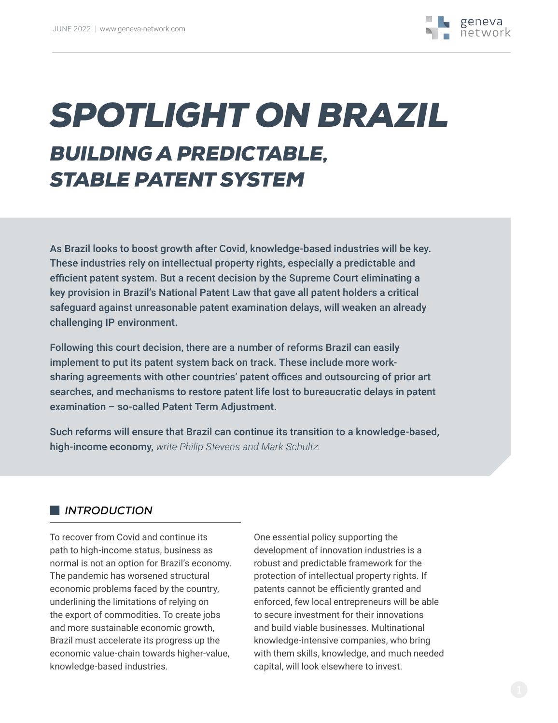# *SPOTLIGHT ON BRAZIL BUILDING A PREDICTABLE, STABLE PATENT SYSTEM*

As Brazil looks to boost growth after Covid, knowledge-based industries will be key. These industries rely on intellectual property rights, especially a predictable and efficient patent system. But a recent decision by the Supreme Court eliminating a key provision in Brazil's National Patent Law that gave all patent holders a critical safeguard against unreasonable patent examination delays, will weaken an already challenging IP environment.

Following this court decision, there are a number of reforms Brazil can easily implement to put its patent system back on track. These include more worksharing agreements with other countries' patent offices and outsourcing of prior art searches, and mechanisms to restore patent life lost to bureaucratic delays in patent examination – so-called Patent Term Adjustment.

Such reforms will ensure that Brazil can continue its transition to a knowledge-based, high-income economy, *write Philip Stevens and Mark Schultz.*

### **I** *INTRODUCTION*

To recover from Covid and continue its path to high-income status, business as normal is not an option for Brazil's economy. The pandemic has worsened structural economic problems faced by the country, underlining the limitations of relying on the export of commodities. To create jobs and more sustainable economic growth, Brazil must accelerate its progress up the economic value-chain towards higher-value, knowledge-based industries.

One essential policy supporting the development of innovation industries is a robust and predictable framework for the protection of intellectual property rights. If patents cannot be efficiently granted and enforced, few local entrepreneurs will be able to secure investment for their innovations and build viable businesses. Multinational knowledge-intensive companies, who bring with them skills, knowledge, and much needed capital, will look elsewhere to invest.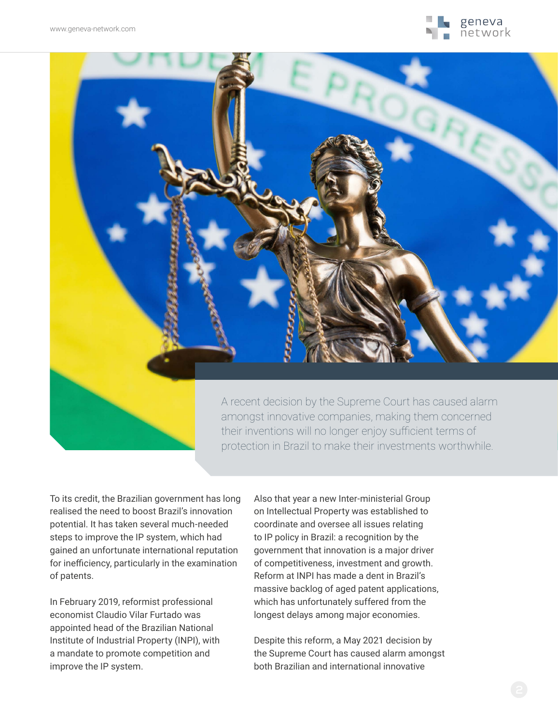



A recent decision by the Supreme Court has caused alarm amongst innovative companies, making them concerned their inventions will no longer enjoy sufficient terms of protection in Brazil to make their investments worthwhile.

To its credit, the Brazilian government has long realised the need to boost Brazil's innovation potential. It has taken several much-needed steps to improve the IP system, which had gained an unfortunate international reputation for inefficiency, particularly in the examination of patents.

In February 2019, reformist professional economist Claudio Vilar Furtado was appointed head of the Brazilian National Institute of Industrial Property (INPI), with a mandate to promote competition and improve the IP system.

Also that year a new Inter-ministerial Group on Intellectual Property was established to coordinate and oversee all issues relating to IP policy in Brazil: a recognition by the government that innovation is a major driver of competitiveness, investment and growth. Reform at INPI has made a dent in Brazil's massive backlog of aged patent applications, which has unfortunately suffered from the longest delays among major economies.

Despite this reform, a May 2021 decision by the Supreme Court has caused alarm amongst both Brazilian and international innovative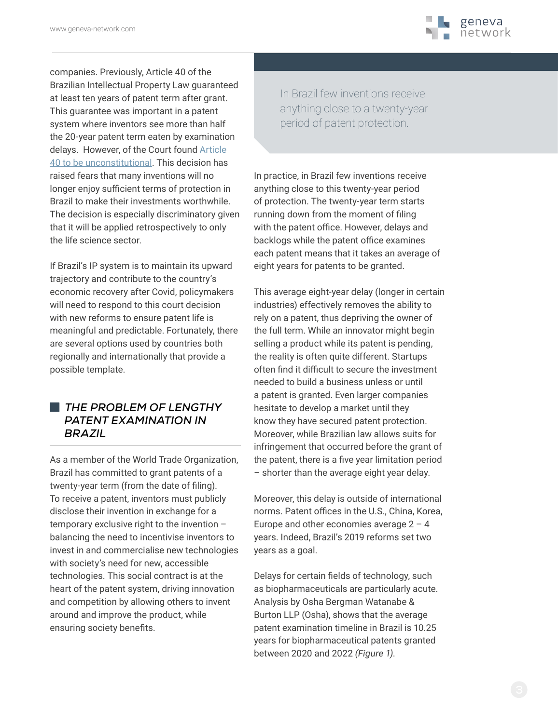

companies. Previously, Article 40 of the Brazilian Intellectual Property Law guaranteed at least ten years of patent term after grant. This guarantee was important in a patent system where inventors see more than half the 20-year patent term eaten by examination delays. However, of the Court found [Article](https://www.lexology.com/library/detail.aspx?g=ef162df3-af79-4b59-946c-3154825ed8a2)  [40 to be unconstitutional.](https://www.lexology.com/library/detail.aspx?g=ef162df3-af79-4b59-946c-3154825ed8a2) This decision has raised fears that many inventions will no longer enjoy sufficient terms of protection in Brazil to make their investments worthwhile. The decision is especially discriminatory given that it will be applied retrospectively to only the life science sector.

If Brazil's IP system is to maintain its upward trajectory and contribute to the country's economic recovery after Covid, policymakers will need to respond to this court decision with new reforms to ensure patent life is meaningful and predictable. Fortunately, there are several options used by countries both regionally and internationally that provide a possible template.

#### V *THE PROBLEM OF LENGTHY PATENT EXAMINATION IN BRAZIL*

As a member of the World Trade Organization, Brazil has committed to grant patents of a twenty-year term (from the date of filing). To receive a patent, inventors must publicly disclose their invention in exchange for a temporary exclusive right to the invention – balancing the need to incentivise inventors to invest in and commercialise new technologies with society's need for new, accessible technologies. This social contract is at the heart of the patent system, driving innovation and competition by allowing others to invent around and improve the product, while ensuring society benefits.

In Brazil few inventions receive anything close to a twenty-year period of patent protection.

In practice, in Brazil few inventions receive anything close to this twenty-year period of protection. The twenty-year term starts running down from the moment of filing with the patent office. However, delays and backlogs while the patent office examines each patent means that it takes an average of eight years for patents to be granted.

This average eight-year delay (longer in certain industries) effectively removes the ability to rely on a patent, thus depriving the owner of the full term. While an innovator might begin selling a product while its patent is pending, the reality is often quite different. Startups often find it difficult to secure the investment needed to build a business unless or until a patent is granted. Even larger companies hesitate to develop a market until they know they have secured patent protection. Moreover, while Brazilian law allows suits for infringement that occurred before the grant of the patent, there is a five year limitation period – shorter than the average eight year delay.

Moreover, this delay is outside of international norms. Patent offices in the U.S., China, Korea, Europe and other economies average  $2 - 4$ years. Indeed, Brazil's 2019 reforms set two years as a goal.

Delays for certain fields of technology, such as biopharmaceuticals are particularly acute. Analysis by Osha Bergman Watanabe & Burton LLP (Osha), shows that the average patent examination timeline in Brazil is 10.25 years for biopharmaceutical patents granted between 2020 and 2022 *(Figure 1)*.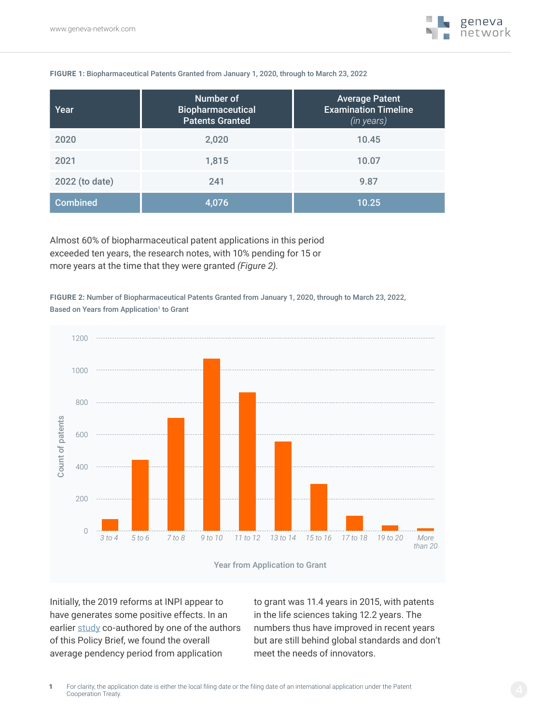

#### **FIGURE 1:** Biopharmaceutical Patents Granted from January 1, 2020, through to March 23, 2022

| Year            | Number of<br>Biopharmaceutical<br><b>Patents Granted</b> | <b>Average Patent</b><br><b>Examination Timeline</b><br>(in years) |
|-----------------|----------------------------------------------------------|--------------------------------------------------------------------|
| 2020            | 2,020                                                    | 10.45                                                              |
| 2021            | 1,815                                                    | 10.07                                                              |
| 2022 (to date)  | 241                                                      | 9.87                                                               |
| <b>Combined</b> | 4.076                                                    | 10.25                                                              |

Almost 60% of biopharmaceutical patent applications in this period exceeded ten years, the research notes, with 10% pending for 15 or more years at the time that they were granted *(Figure 2)*.

**FIGURE 2:** Number of Biopharmaceutical Patents Granted from January 1, 2020, through to March 23, 2022, Based on Years from Application<sup>1</sup> to Grant



Initially, the 2019 reforms at INPI appear to have generates some positive effects. In an earlier [study](https://sls.gmu.edu/cpip/wp-content/uploads/sites/31/2016/10/Schultz-Madigan-The-Long-Wait-for-Innovation-The-Global-Patent-Pendency-Problem.pdf) co-authored by one of the authors of this Policy Brief, we found the overall average pendency period from application

to grant was 11.4 years in 2015, with patents in the life sciences taking 12.2 years. The numbers thus have improved in recent years but are still behind global standards and don't meet the needs of innovators.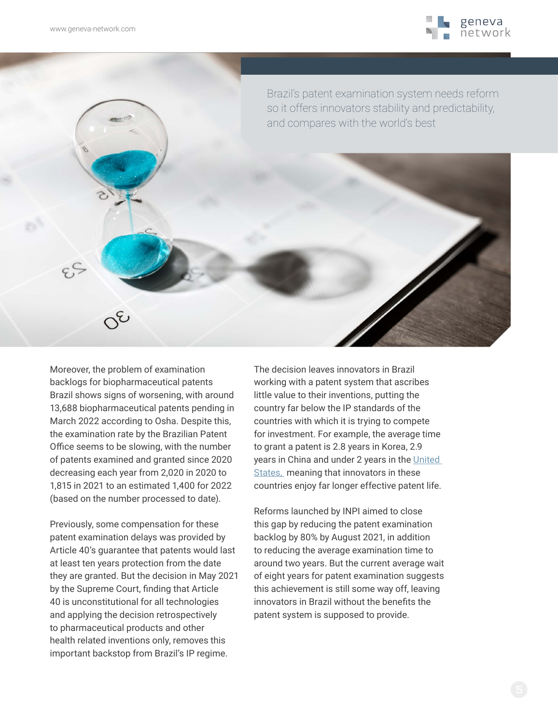

Brazil's patent examination system needs reform so it offers innovators stability and predictability, and compares with the world's best

Moreover, the problem of examination backlogs for biopharmaceutical patents Brazil shows signs of worsening, with around 13,688 biopharmaceutical patents pending in March 2022 according to Osha. Despite this, the examination rate by the Brazilian Patent Office seems to be slowing, with the number of patents examined and granted since 2020 decreasing each year from 2,020 in 2020 to 1,815 in 2021 to an estimated 1,400 for 2022 (based on the number processed to date).

Previously, some compensation for these patent examination delays was provided by Article 40's guarantee that patents would last at least ten years protection from the date they are granted. But the decision in May 2021 by the Supreme Court, finding that Article 40 is unconstitutional for all technologies and applying the decision retrospectively to pharmaceutical products and other health related inventions only, removes this important backstop from Brazil's IP regime.

The decision leaves innovators in Brazil working with a patent system that ascribes little value to their inventions, putting the country far below the IP standards of the countries with which it is trying to compete for investment. For example, the average time to grant a patent is 2.8 years in Korea, 2.9 years in China and under 2 years in the United [States,](https://www.uspto.gov/dashboard/patents/pendency.html) meaning that innovators in these countries enjoy far longer effective patent life.

Reforms launched by INPI aimed to close this gap by reducing the patent examination backlog by 80% by August 2021, in addition to reducing the average examination time to around two years. But the current average wait of eight years for patent examination suggests this achievement is still some way off, leaving innovators in Brazil without the benefits the patent system is supposed to provide.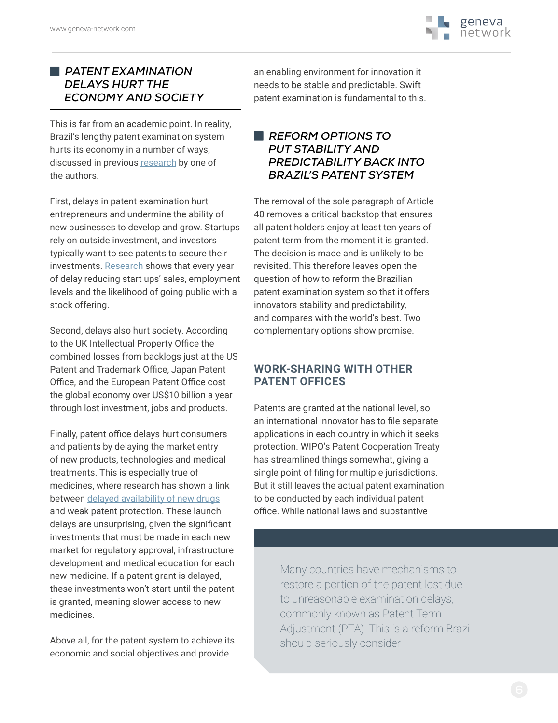

### **EXAMINATION** *DELAYS HURT THE ECONOMY AND SOCIETY*

This is far from an academic point. In reality, Brazil's lengthy patent examination system hurts its economy in a number of ways, discussed in previous [research](https://sls.gmu.edu/cpip/wp-content/uploads/sites/31/2016/10/Schultz-Madigan-The-Long-Wait-for-Innovation-The-Global-Patent-Pendency-Problem.pdf) by one of the authors.

First, delays in patent examination [hurt](https://www.nber.org/system/files/working_papers/w21959/w21959.pdf)  [entrepreneurs](https://www.nber.org/system/files/working_papers/w21959/w21959.pdf) and undermine the ability of new businesses to develop and grow. Startups rely on outside investment, and investors typically want to see patents to secure their investments. [Research](https://www.nber.org/system/files/working_papers/w21959/w21959.pdf) shows that every year of delay reducing start ups' sales, employment levels and the likelihood of going public with a stock offering.

Second, delays also hurt society. According to the UK Intellectual Property Office the combined losses from backlogs just at the US Patent and Trademark Office, Japan Patent Office, and the European Patent Office cost the global economy over US[\\$10 billion](https://www.gov.uk/government/uploads/%20system/uploads/attachment_data/file/328678/p-backlog-report.%20pdf) a year through lost investment, jobs and products.

Finally, patent office delays hurt consumers and patients by delaying the market entry of new products, technologies and medical treatments. This is especially true of medicines, where research has shown a link between [delayed availability of new drugs](https://www.nber.org/papers/w20492) and weak patent protection. These launch delays are unsurprising, given the significant investments that must be made in each new market for regulatory approval, infrastructure development and medical education for each new medicine. If a patent grant is delayed, these investments won't start until the patent is granted, meaning slower access to new medicines.

Above all, for the patent system to achieve its economic and social objectives and provide

an enabling environment for innovation it needs to be stable and predictable. Swift patent examination is fundamental to this.

#### V *REFORM OPTIONS TO PUT STABILITY AND PREDICTABILITY BACK INTO BRAZIL'S PATENT SYSTEM*

The removal of the sole paragraph of Article 40 removes a critical backstop that ensures all patent holders enjoy at least ten years of patent term from the moment it is granted. The decision is made and is unlikely to be revisited. This therefore leaves open the question of how to reform the Brazilian patent examination system so that it offers innovators stability and predictability, and compares with the world's best. Two complementary options show promise.

### **WORK-SHARING WITH OTHER PATENT OFFICES**

Patents are granted at the national level, so an international innovator has to file separate applications in each country in which it seeks protection. WIPO's Patent Cooperation Treaty has streamlined things somewhat, giving a single point of filing for multiple jurisdictions. But it still leaves the actual patent examination to be conducted by each individual patent office. While national laws and substantive

> Many countries have mechanisms to restore a portion of the patent lost due to unreasonable examination delays, commonly known as Patent Term Adjustment (PTA). This is a reform Brazil should seriously consider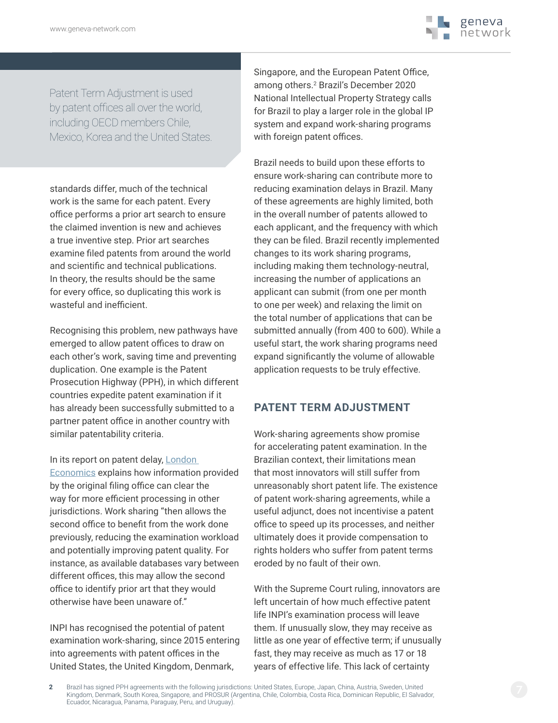

Patent Term Adjustment is used by patent offices all over the world, including OECD members Chile, Mexico, Korea and the United States.

standards differ, much of the technical work is the same for each patent. Every office performs a prior art search to ensure the claimed invention is new and achieves a true inventive step. Prior art searches examine filed patents from around the world and scientific and technical publications. In theory, the results should be the same for every office, so duplicating this work is wasteful and inefficient.

Recognising this problem, new pathways have emerged to allow patent offices to draw on each other's work, saving time and preventing duplication. One example is the Patent Prosecution Highway (PPH), in which different countries expedite patent examination if it has already been successfully submitted to a partner patent office in another country with similar patentability criteria.

In its report on patent delay, London [Economics](https://assets.publishing.service.gov.uk/government/uploads/system/uploads/attachment_data/file/328678/p-backlog-report.pdf) explains how information provided by the original filing office can clear the way for more efficient processing in other jurisdictions. Work sharing "then allows the second office to benefit from the work done previously, reducing the examination workload and potentially improving patent quality. For instance, as available databases vary between different offices, this may allow the second office to identify prior art that they would otherwise have been unaware of."

INPI has recognised the potential of patent examination work-sharing, since 2015 entering into agreements with patent offices in the United States, the United Kingdom, Denmark,

Singapore, and the European Patent Office, among others.2 Brazil's December 2020 National Intellectual Property Strategy calls for Brazil to play a larger role in the global IP system and expand work-sharing programs with foreign patent offices.

Brazil needs to build upon these efforts to ensure work-sharing can contribute more to reducing examination delays in Brazil. Many of these agreements are highly limited, both in the overall number of patents allowed to each applicant, and the frequency with which they can be filed. Brazil recently implemented changes to its work sharing programs, including making them technology-neutral, increasing the number of applications an applicant can submit (from one per month to one per week) and relaxing the limit on the total number of applications that can be submitted annually (from 400 to 600). While a useful start, the work sharing programs need expand significantly the volume of allowable application requests to be truly effective.

#### **PATENT TERM ADJUSTMENT**

Work-sharing agreements show promise for accelerating patent examination. In the Brazilian context, their limitations mean that most innovators will still suffer from unreasonably short patent life. The existence of patent work-sharing agreements, while a useful adjunct, does not incentivise a patent office to speed up its processes, and neither ultimately does it provide compensation to rights holders who suffer from patent terms eroded by no fault of their own.

With the Supreme Court ruling, innovators are left uncertain of how much effective patent life INPI's examination process will leave them. If unusually slow, they may receive as little as one year of effective term; if unusually fast, they may receive as much as 17 or 18 years of effective life. This lack of certainty

**2** Brazil has signed PPH agreements with the following jurisdictions: United States, Europe, Japan, China, Austria, Sweden, United Kingdom, Denmark, South Korea, Singapore, and PROSUR (Argentina, Chile, Colombia, Costa Rica, Dominican Republic, El Salvador, Ecuador, Nicaragua, Panama, Paraguay, Peru, and Uruguay).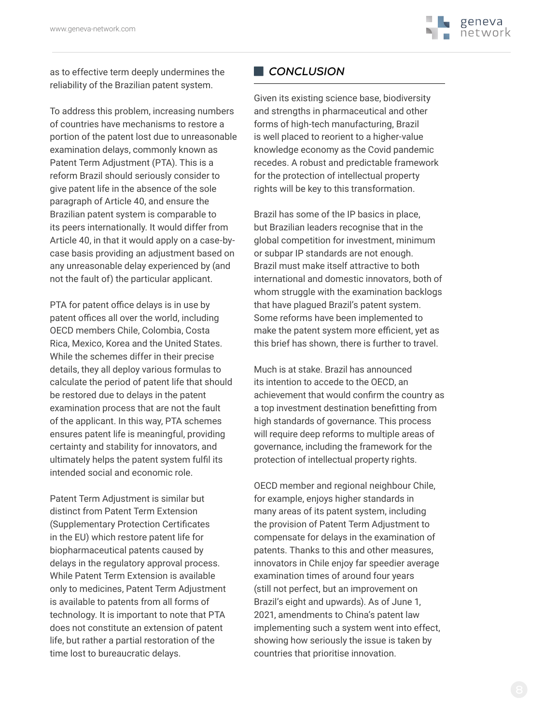

as to effective term deeply undermines the reliability of the Brazilian patent system.

To address this problem, increasing numbers of countries have mechanisms to restore a portion of the patent lost due to unreasonable examination delays, commonly known as Patent Term Adjustment (PTA). This is a reform Brazil should seriously consider to give patent life in the absence of the sole paragraph of Article 40, and ensure the Brazilian patent system is comparable to its peers internationally. It would differ from Article 40, in that it would apply on a case-bycase basis providing an adjustment based on any unreasonable delay experienced by (and not the fault of) the particular applicant.

PTA for patent office delays is in use by patent offices all over the world, including OECD members Chile, Colombia, Costa Rica, Mexico, Korea and the United States. While the schemes differ in their precise details, they all deploy various formulas to calculate the period of patent life that should be restored due to delays in the patent examination process that are not the fault of the applicant. In this way, PTA schemes ensures patent life is meaningful, providing certainty and stability for innovators, and ultimately helps the patent system fulfil its intended social and economic role.

Patent Term Adjustment is similar but distinct from Patent Term Extension (Supplementary Protection Certificates in the EU) which restore patent life for biopharmaceutical patents caused by delays in the regulatory approval process. While Patent Term Extension is available only to medicines, Patent Term Adjustment is available to patents from all forms of technology. It is important to note that PTA does not constitute an extension of patent life, but rather a partial restoration of the time lost to bureaucratic delays.

#### **CONCLUSION**

Given its existing science base, biodiversity and strengths in pharmaceutical and other forms of high-tech manufacturing, Brazil is well placed to reorient to a higher-value knowledge economy as the Covid pandemic recedes. A robust and predictable framework for the protection of intellectual property rights will be key to this transformation.

Brazil has some of the IP basics in place, but Brazilian leaders recognise that in the global competition for investment, minimum or subpar IP standards are not enough. Brazil must make itself attractive to both international and domestic innovators, both of whom struggle with the examination backlogs that have plagued Brazil's patent system. Some reforms have been implemented to make the patent system more efficient, yet as this brief has shown, there is further to travel.

Much is at stake. Brazil has announced its intention to accede to the OECD, an achievement that would confirm the country as a top investment destination benefitting from high standards of governance. This process will require deep reforms to multiple areas of governance, including the framework for the protection of intellectual property rights.

OECD member and regional neighbour Chile, for example, enjoys higher standards in many areas of its patent system, including the provision of Patent Term Adjustment to compensate for delays in the examination of patents. Thanks to this and other measures, innovators in Chile enjoy far speedier average examination times of around four years (still not perfect, but an improvement on Brazil's eight and upwards). As of June 1, 2021, amendments to China's patent law implementing such a system went into effect, showing how seriously the issue is taken by countries that prioritise innovation.